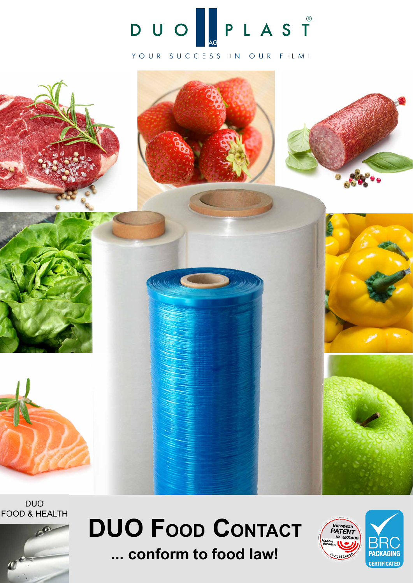

#### YOUR SUCCESS IN OUR FILM!



**DUO FOOD & HEALTH** 



# **DUO Food Contact ... conform to food law!**